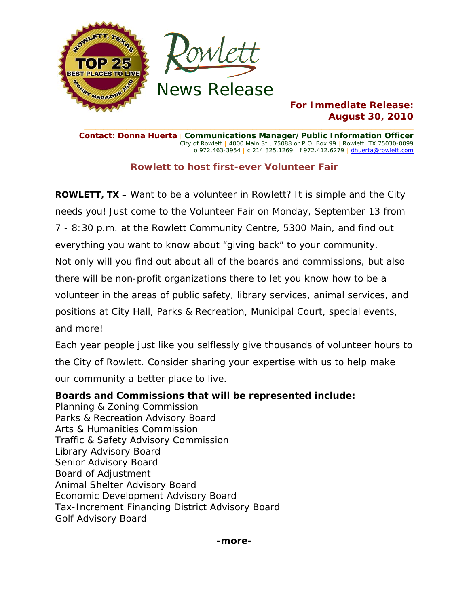

### **For Immediate Release: August 30, 2010**

**Contact: Donna Huerta** | **Communications Manager/Public Information Officer** City of Rowlett | 4000 Main St., 75088 or P.O. Box 99 | Rowlett, TX 75030-0099 o 972.463-3954 | c 214.325.1269 | f 972.412.6279 | dhuerta@rowlett.com

**\_\_\_\_\_\_\_\_\_\_\_\_\_\_\_\_\_\_\_\_\_\_\_\_\_\_\_\_\_\_\_\_\_\_\_\_\_\_\_\_\_\_\_\_\_\_\_\_\_\_\_\_\_\_\_\_\_\_\_\_\_\_\_\_\_\_\_\_\_\_\_\_\_\_\_\_\_\_\_\_\_\_\_\_\_\_** 

## **Rowlett to host first-ever Volunteer Fair**

**ROWLETT, TX** – Want to be a volunteer in Rowlett? It is simple and the City needs you! Just come to the Volunteer Fair on Monday, September 13 from 7 - 8:30 p.m. at the Rowlett Community Centre, 5300 Main, and find out everything you want to know about "giving back" to your community. Not only will you find out about all of the boards and commissions, but also there will be non-profit organizations there to let you know how to be a volunteer in the areas of public safety, library services, animal services, and positions at City Hall, Parks & Recreation, Municipal Court, special events, and more!

Each year people just like you selflessly give thousands of volunteer hours to the City of Rowlett. Consider sharing your expertise with us to help make our community a better place to live.

### **Boards and Commissions that will be represented include:**

Planning & Zoning Commission Parks & Recreation Advisory Board Arts & Humanities Commission Traffic & Safety Advisory Commission Library Advisory Board Senior Advisory Board Board of Adjustment Animal Shelter Advisory Board Economic Development Advisory Board Tax-Increment Financing District Advisory Board Golf Advisory Board